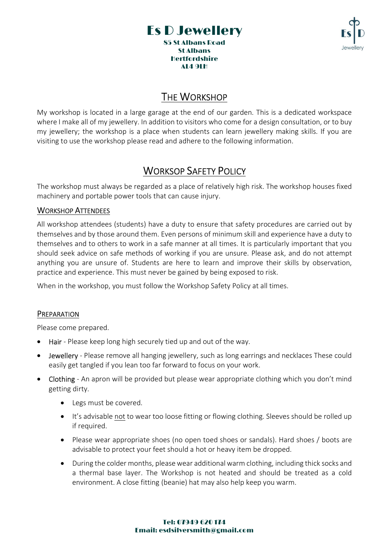



# **THE WORKSHOP**

My workshop is located in a large garage at the end of our garden. This is a dedicated workspace where I make all of my jewellery. In addition to visitors who come for a design consultation, or to buy my jewellery; the workshop is a place when students can learn jewellery making skills. If you are visiting to use the workshop please read and adhere to the following information.

# WORKSOP SAFETY POLICY

The workshop must always be regarded as a place of relatively high risk. The workshop houses fixed machinery and portable power tools that can cause injury.

## WORKSHOP ATTENDEES

All workshop attendees (students) have a duty to ensure that safety procedures are carried out by themselves and by those around them. Even persons of minimum skill and experience have a duty to themselves and to others to work in a safe manner at all times. It is particularly important that you should seek advice on safe methods of working if you are unsure. Please ask, and do not attempt anything you are unsure of. Students are here to learn and improve their skills by observation, practice and experience. This must never be gained by being exposed to risk.

When in the workshop, you must follow the Workshop Safety Policy at all times.

## **PREPARATION**

Please come prepared.

- Hair Please keep long high securely tied up and out of the way.
- Jewellery Please remove all hanging jewellery, such as long earrings and necklaces These could easily get tangled if you lean too far forward to focus on your work.
- Clothing An apron will be provided but please wear appropriate clothing which you don't mind getting dirty.
	- Legs must be covered.
	- It's advisable not to wear too loose fitting or flowing clothing. Sleeves should be rolled up if required.
	- Please wear appropriate shoes (no open toed shoes or sandals). Hard shoes / boots are advisable to protect your feet should a hot or heavy item be dropped.
	- During the colder months, please wear additional warm clothing, including thick socks and a thermal base layer. The Workshop is not heated and should be treated as a cold environment. A close fitting (beanie) hat may also help keep you warm.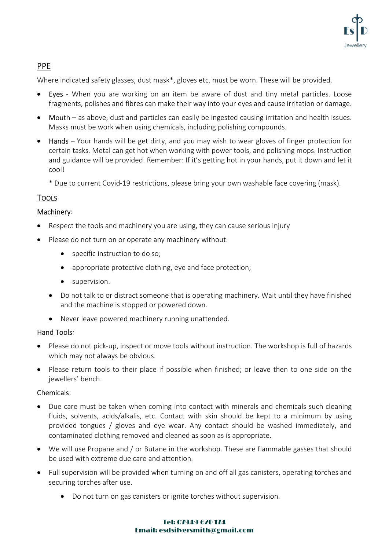

# PPE

Where indicated safety glasses, dust mask\*, gloves etc. must be worn. These will be provided.

- Eyes When you are working on an item be aware of dust and tiny metal particles. Loose fragments, polishes and fibres can make their way into your eyes and cause irritation or damage.
- Mouth as above, dust and particles can easily be ingested causing irritation and health issues. Masks must be work when using chemicals, including polishing compounds.
- Hands Your hands will be get dirty, and you may wish to wear gloves of finger protection for certain tasks. Metal can get hot when working with power tools, and polishing mops. Instruction and guidance will be provided. Remember: If it's getting hot in your hands, put it down and let it cool!
	- \* Due to current Covid-19 restrictions, please bring your own washable face covering (mask).

# **TOOLS**

# Machinery:

- Respect the tools and machinery you are using, they can cause serious injury
- Please do not turn on or operate any machinery without:
	- specific instruction to do so;
	- appropriate protective clothing, eye and face protection;
	- **•** supervision.
	- Do not talk to or distract someone that is operating machinery. Wait until they have finished and the machine is stopped or powered down.
	- Never leave powered machinery running unattended.

## Hand Tools:

- Please do not pick-up, inspect or move tools without instruction. The workshop is full of hazards which may not always be obvious.
- Please return tools to their place if possible when finished; or leave then to one side on the jewellers' bench.

# Chemicals:

- Due care must be taken when coming into contact with minerals and chemicals such cleaning fluids, solvents, acids/alkalis, etc. Contact with skin should be kept to a minimum by using provided tongues / gloves and eye wear. Any contact should be washed immediately, and contaminated clothing removed and cleaned as soon as is appropriate.
- We will use Propane and / or Butane in the workshop. These are flammable gasses that should be used with extreme due care and attention.
- Full supervision will be provided when turning on and off all gas canisters, operating torches and securing torches after use.
	- Do not turn on gas canisters or ignite torches without supervision.

#### Tel: 07949 620 174 Email: esdsilversmith@gmail.com